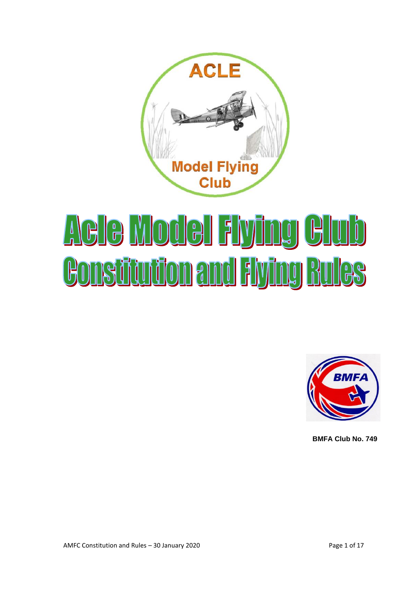

# Aele Model Flying Club **Bonstitution and Flying Rules**



**BMFA Club No. 749**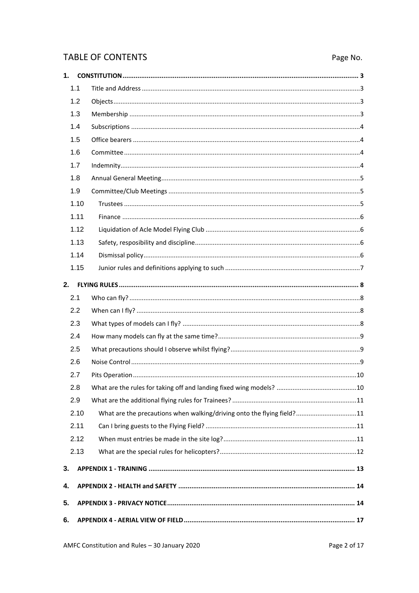# **TABLE OF CONTENTS**

# Page No.

| 1. |      |                                                                        |  |
|----|------|------------------------------------------------------------------------|--|
|    | 1.1  |                                                                        |  |
|    | 1.2  |                                                                        |  |
|    | 1.3  |                                                                        |  |
|    | 1.4  |                                                                        |  |
|    | 1.5  |                                                                        |  |
|    | 1.6  |                                                                        |  |
|    | 1.7  |                                                                        |  |
|    | 1.8  |                                                                        |  |
|    | 1.9  |                                                                        |  |
|    | 1.10 |                                                                        |  |
|    | 1.11 |                                                                        |  |
|    | 1.12 |                                                                        |  |
|    | 1.13 |                                                                        |  |
|    | 1.14 |                                                                        |  |
|    | 1.15 |                                                                        |  |
| 2. |      |                                                                        |  |
|    | 2.1  |                                                                        |  |
|    | 2.2  |                                                                        |  |
|    | 2.3  |                                                                        |  |
|    | 2.4  |                                                                        |  |
|    | 2.5  |                                                                        |  |
|    | 2.6  |                                                                        |  |
|    | 2.7  |                                                                        |  |
|    | 2.8  |                                                                        |  |
|    | 2.9  |                                                                        |  |
|    | 2.10 | What are the precautions when walking/driving onto the flying field?11 |  |
|    | 2.11 |                                                                        |  |
|    | 2.12 |                                                                        |  |
|    | 2.13 |                                                                        |  |
| 3. |      |                                                                        |  |
| 4. |      |                                                                        |  |
| 5. |      |                                                                        |  |
| 6. |      |                                                                        |  |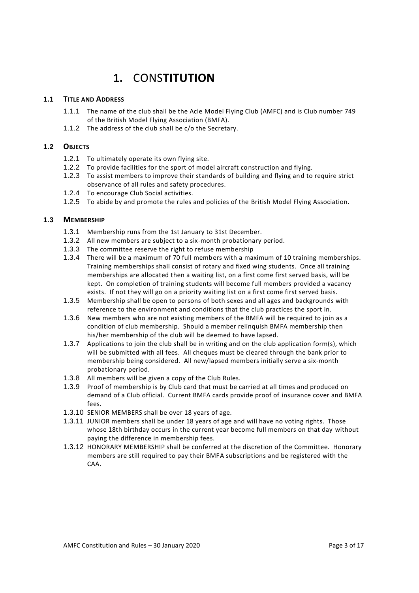# **1.** CONS**TITUTION**

# **1.1 TITLE AND ADDRESS**

- 1.1.1 The name of the club shall be the Acle Model Flying Club (AMFC) and is Club number 749 of the British Model Flying Association (BMFA).
- 1.1.2 The address of the club shall be c/o the Secretary.

# **1.2 OBJECTS**

- 1.2.1 To ultimately operate its own flying site.
- 1.2.2 To provide facilities for the sport of model aircraft construction and flying.
- 1.2.3 To assist members to improve their standards of building and flying and to require strict observance of all rules and safety procedures.
- 1.2.4 To encourage Club Social activities.
- 1.2.5 To abide by and promote the rules and policies of the British Model Flying Association.

# **1.3 MEMBERSHIP**

- 1.3.1 Membership runs from the 1st January to 31st December.
- 1.3.2 All new members are subject to a six-month probationary period.
- 1.3.3 The committee reserve the right to refuse membership
- 1.3.4 There will be a maximum of 70 full members with a maximum of 10 training memberships. Training memberships shall consist of rotary and fixed wing students. Once all training memberships are allocated then a waiting list, on a first come first served basis, will be kept. On completion of training students will become full members provided a vacancy exists. If not they will go on a priority waiting list on a first come first served basis.
- 1.3.5 Membership shall be open to persons of both sexes and all ages and backgrounds with reference to the environment and conditions that the club practices the sport in.
- 1.3.6 New members who are not existing members of the BMFA will be required to join as a condition of club membership. Should a member relinquish BMFA membership then his/her membership of the club will be deemed to have lapsed.
- 1.3.7 Applications to join the club shall be in writing and on the club application form(s), which will be submitted with all fees. All cheques must be cleared through the bank prior to membership being considered. All new/lapsed members initially serve a six-month probationary period.
- 1.3.8 All members will be given a copy of the Club Rules.
- 1.3.9 Proof of membership is by Club card that must be carried at all times and produced on demand of a Club official. Current BMFA cards provide proof of insurance cover and BMFA fees.
- 1.3.10 SENIOR MEMBERS shall be over 18 years of age.
- 1.3.11 JUNIOR members shall be under 18 years of age and will have no voting rights. Those whose 18th birthday occurs in the current year become full members on that day without paying the difference in membership fees.
- 1.3.12 HONORARY MEMBERSHIP shall be conferred at the discretion of the Committee. Honorary members are still required to pay their BMFA subscriptions and be registered with the CAA.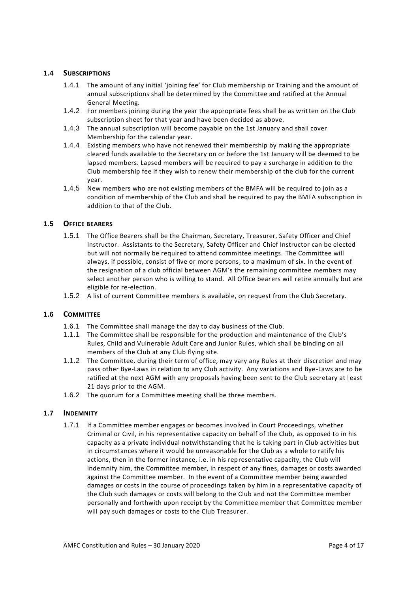# **1.4 SUBSCRIPTIONS**

- 1.4.1 The amount of any initial 'joining fee' for Club membership or Training and the amount of annual subscriptions shall be determined by the Committee and ratified at the Annual General Meeting.
- 1.4.2 For members joining during the year the appropriate fees shall be as written on the Club subscription sheet for that year and have been decided as above.
- 1.4.3 The annual subscription will become payable on the 1st January and shall cover Membership for the calendar year.
- 1.4.4 Existing members who have not renewed their membership by making the appropriate cleared funds available to the Secretary on or before the 1st January will be deemed to be lapsed members. Lapsed members will be required to pay a surcharge in addition to the Club membership fee if they wish to renew their membership of the club for the current year.
- 1.4.5 New members who are not existing members of the BMFA will be required to join as a condition of membership of the Club and shall be required to pay the BMFA subscription in addition to that of the Club.

## **1.5 OFFICE BEARERS**

- 1.5.1 The Office Bearers shall be the Chairman, Secretary, Treasurer, Safety Officer and Chief Instructor. Assistants to the Secretary, Safety Officer and Chief Instructor can be elected but will not normally be required to attend committee meetings. The Committee will always, if possible, consist of five or more persons, to a maximum of six. In the event of the resignation of a club official between AGM's the remaining committee members may select another person who is willing to stand. All Office bearers will retire annually but are eligible for re-election.
- 1.5.2 A list of current Committee members is available, on request from the Club Secretary.

#### **1.6 COMMITTEE**

- 1.6.1 The Committee shall manage the day to day business of the Club.
- 1.1.1 The Committee shall be responsible for the production and maintenance of the Club's Rules, Child and Vulnerable Adult Care and Junior Rules, which shall be binding on all members of the Club at any Club flying site.
- 1.1.2 The Committee, during their term of office, may vary any Rules at their discretion and may pass other Bye-Laws in relation to any Club activity. Any variations and Bye-Laws are to be ratified at the next AGM with any proposals having been sent to the Club secretary at least 21 days prior to the AGM.
- 1.6.2 The quorum for a Committee meeting shall be three members.

#### **1.7 INDEMNITY**

1.7.1 If a Committee member engages or becomes involved in Court Proceedings, whether Criminal or Civil, in his representative capacity on behalf of the Club, as opposed to in his capacity as a private individual notwithstanding that he is taking part in Club activities but in circumstances where it would be unreasonable for the Club as a whole to ratify his actions, then in the former instance, i.e. in his representative capacity, the Club will indemnify him, the Committee member, in respect of any fines, damages or costs awarded against the Committee member. In the event of a Committee member being awarded damages or costs in the course of proceedings taken by him in a representative capacity of the Club such damages or costs will belong to the Club and not the Committee member personally and forthwith upon receipt by the Committee member that Committee member will pay such damages or costs to the Club Treasurer.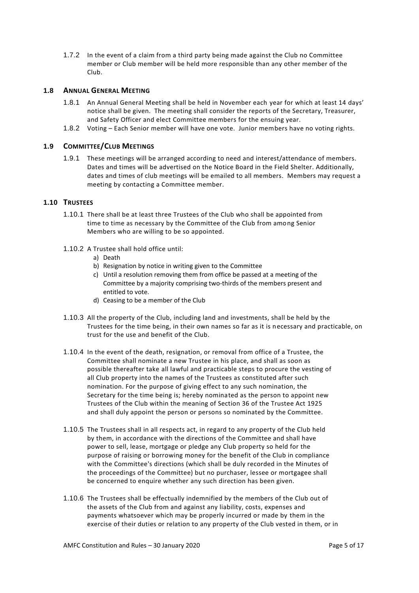1.7.2 In the event of a claim from a third party being made against the Club no Committee member or Club member will be held more responsible than any other member of the Club.

# **1.8 ANNUAL GENERAL MEETING**

- 1.8.1 An Annual General Meeting shall be held in November each year for which at least 14 days' notice shall be given. The meeting shall consider the reports of the Secretary, Treasurer, and Safety Officer and elect Committee members for the ensuing year.
- 1.8.2 Voting Each Senior member will have one vote. Junior members have no voting rights.

## **1.9 COMMITTEE/CLUB MEETINGS**

1.9.1 These meetings will be arranged according to need and interest/attendance of members. Dates and times will be advertised on the Notice Board in the Field Shelter. Additionally, dates and times of club meetings will be emailed to all members. Members may request a meeting by contacting a Committee member.

#### **1.10 TRUSTEES**

- 1.10.1 There shall be at least three Trustees of the Club who shall be appointed from time to time as necessary by the Committee of the Club from among Senior Members who are willing to be so appointed.
- 1.10.2 A Trustee shall hold office until:
	- a) Death
	- b) Resignation by notice in writing given to the Committee
	- c) Until a resolution removing them from office be passed at a meeting of the Committee by a majority comprising two-thirds of the members present and entitled to vote.
	- d) Ceasing to be a member of the Club
- 1.10.3 All the property of the Club, including land and investments, shall be held by the Trustees for the time being, in their own names so far as it is necessary and practicable, on trust for the use and benefit of the Club.
- 1.10.4 In the event of the death, resignation, or removal from office of a Trustee, the Committee shall nominate a new Trustee in his place, and shall as soon as possible thereafter take all lawful and practicable steps to procure the vesting of all Club property into the names of the Trustees as constituted after such nomination. For the purpose of giving effect to any such nomination, the Secretary for the time being is; hereby nominated as the person to appoint new Trustees of the Club within the meaning of Section 36 of the Trustee Act 1925 and shall duly appoint the person or persons so nominated by the Committee.
- 1.10.5 The Trustees shall in all respects act, in regard to any property of the Club held by them, in accordance with the directions of the Committee and shall have power to sell, lease, mortgage or pledge any Club property so held for the purpose of raising or borrowing money for the benefit of the Club in compliance with the Committee's directions (which shall be duly recorded in the Minutes of the proceedings of the Committee) but no purchaser, lessee or mortgagee shall be concerned to enquire whether any such direction has been given.
- 1.10.6 The Trustees shall be effectually indemnified by the members of the Club out of the assets of the Club from and against any liability, costs, expenses and payments whatsoever which may be properly incurred or made by them in the exercise of their duties or relation to any property of the Club vested in them, or in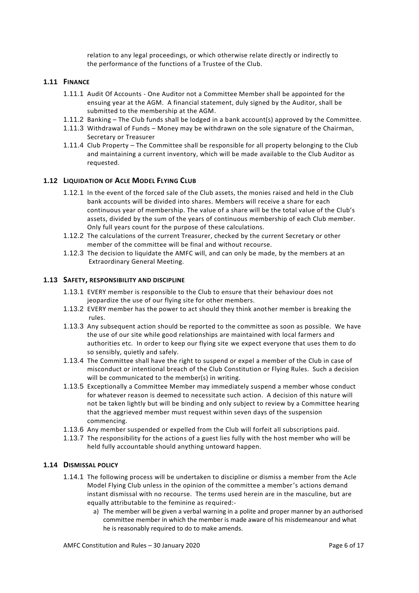relation to any legal proceedings, or which otherwise relate directly or indirectly to the performance of the functions of a Trustee of the Club.

## **1.11 FINANCE**

- 1.11.1 Audit Of Accounts One Auditor not a Committee Member shall be appointed for the ensuing year at the AGM. A financial statement, duly signed by the Auditor, shall be submitted to the membership at the AGM.
- 1.11.2 Banking The Club funds shall be lodged in a bank account(s) approved by the Committee.
- 1.11.3 Withdrawal of Funds Money may be withdrawn on the sole signature of the Chairman, Secretary or Treasurer
- 1.11.4 Club Property The Committee shall be responsible for all property belonging to the Club and maintaining a current inventory, which will be made available to the Club Auditor as requested.

## **1.12 LIQUIDATION OF ACLE MODEL FLYING CLUB**

- 1.12.1 In the event of the forced sale of the Club assets, the monies raised and held in the Club bank accounts will be divided into shares. Members will receive a share for each continuous year of membership. The value of a share will be the total value of the Club's assets, divided by the sum of the years of continuous membership of each Club member. Only full years count for the purpose of these calculations.
- 1.12.2 The calculations of the current Treasurer, checked by the current Secretary or other member of the committee will be final and without recourse.
- 1.12.3 The decision to liquidate the AMFC will, and can only be made, by the members at an Extraordinary General Meeting.

#### **1.13 SAFETY, RESPONSIBILITY AND DISCIPLINE**

- 1.13.1 EVERY member is responsible to the Club to ensure that their behaviour does not jeopardize the use of our flying site for other members.
- 1.13.2 EVERY member has the power to act should they think another member is breaking the rules.
- 1.13.3 Any subsequent action should be reported to the committee as soon as possible. We have the use of our site while good relationships are maintained with local farmers and authorities etc. In order to keep our flying site we expect everyone that uses them to do so sensibly, quietly and safely.
- 1.13.4 The Committee shall have the right to suspend or expel a member of the Club in case of misconduct or intentional breach of the Club Constitution or Flying Rules. Such a decision will be communicated to the member(s) in writing.
- 1.13.5 Exceptionally a Committee Member may immediately suspend a member whose conduct for whatever reason is deemed to necessitate such action. A decision of this nature will not be taken lightly but will be binding and only subject to review by a Committee hearing that the aggrieved member must request within seven days of the suspension commencing.
- 1.13.6 Any member suspended or expelled from the Club will forfeit all subscriptions paid.
- 1.13.7 The responsibility for the actions of a guest lies fully with the host member who will be held fully accountable should anything untoward happen.

#### **1.14 DISMISSAL POLICY**

- 1.14.1 The following process will be undertaken to discipline or dismiss a member from the Acle Model Flying Club unless in the opinion of the committee a member's actions demand instant dismissal with no recourse. The terms used herein are in the masculine, but are equally attributable to the feminine as required:
	- a) The member will be given a verbal warning in a polite and proper manner by an authorised committee member in which the member is made aware of his misdemeanour and what he is reasonably required to do to make amends.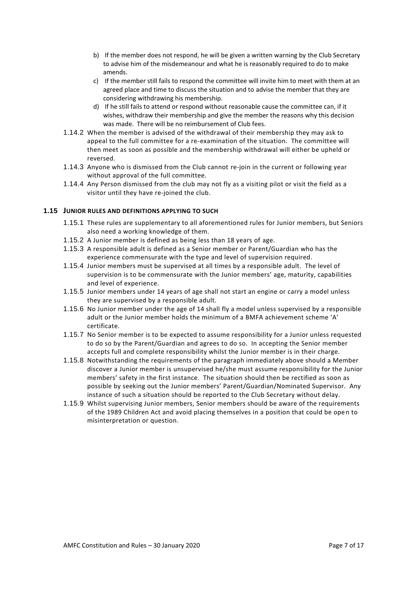- b) If the member does not respond, he will be given a written warning by the Club Secretary to advise him of the misdemeanour and what he is reasonably required to do to make amends.
- c) If the member still fails to respond the committee will invite him to meet with them at an agreed place and time to discuss the situation and to advise the member that they are considering withdrawing his membership.
- d) If he still fails to attend or respond without reasonable cause the committee can, if it wishes, withdraw their membership and give the member the reasons why this decision was made. There will be no reimbursement of Club fees.
- 1.14.2 When the member is advised of the withdrawal of their membership they may ask to appeal to the full committee for a re-examination of the situation. The committee will then meet as soon as possible and the membership withdrawal will either be upheld or reversed.
- 1.14.3 Anyone who is dismissed from the Club cannot re-join in the current or following year without approval of the full committee.
- 1.14.4 Any Person dismissed from the club may not fly as a visiting pilot or visit the field as a visitor until they have re-joined the club.

## **1.15 JUNIOR RULES AND DEFINITIONS APPLYING TO SUCH**

- 1.15.1 These rules are supplementary to all aforementioned rules for Junior members, but Seniors also need a working knowledge of them.
- 1.15.2 A Junior member is defined as being less than 18 years of age.
- 1.15.3 A responsible adult is defined as a Senior member or Parent/Guardian who has the experience commensurate with the type and level of supervision required.
- 1.15.4 Junior members must be supervised at all times by a responsible adult. The level of supervision is to be commensurate with the Junior members' age, maturity, capabilities and level of experience.
- 1.15.5 Junior members under 14 years of age shall not start an engine or carry a model unless they are supervised by a responsible adult.
- 1.15.6 No Junior member under the age of 14 shall fly a model unless supervised by a responsible adult or the Junior member holds the minimum of a BMFA achievement scheme 'A' certificate.
- 1.15.7 No Senior member is to be expected to assume responsibility for a Junior unless requested to do so by the Parent/Guardian and agrees to do so. In accepting the Senior member accepts full and complete responsibility whilst the Junior member is in their charge.
- 1.15.8 Notwithstanding the requirements of the paragraph immediately above should a Member discover a Junior member is unsupervised he/she must assume responsibility for the Junior members' safety in the first instance. The situation should then be rectified as soon as possible by seeking out the Junior members' Parent/Guardian/Nominated Supervisor. Any instance of such a situation should be reported to the Club Secretary without delay.
- 1.15.9 Whilst supervising Junior members, Senior members should be aware of the requirements of the 1989 Children Act and avoid placing themselves in a position that could be open to misinterpretation or question.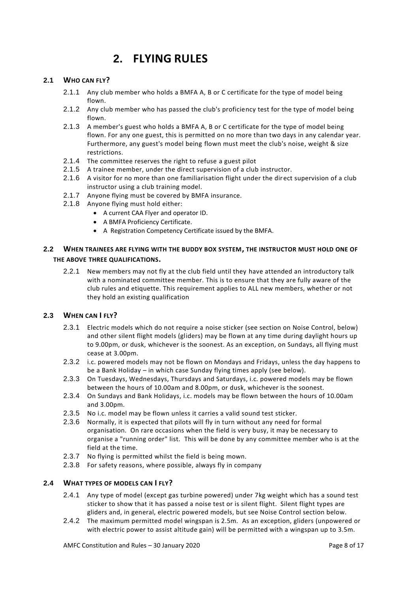# **2. FLYING RULES**

# **2.1 WHO CAN FLY?**

- 2.1.1 Any club member who holds a BMFA A, B or C certificate for the type of model being flown.
- 2.1.2 Any club member who has passed the club's proficiency test for the type of model being flown.
- 2.1.3 A member's guest who holds a BMFA A, B or C certificate for the type of model being flown. For any one guest, this is permitted on no more than two days in any calendar year. Furthermore, any guest's model being flown must meet the club's noise, weight & size restrictions.
- 2.1.4 The committee reserves the right to refuse a guest pilot
- 2.1.5 A trainee member, under the direct supervision of a club instructor.
- 2.1.6 A visitor for no more than one familiarisation flight under the direct supervision of a club instructor using a club training model.
- 2.1.7 Anyone flying must be covered by BMFA insurance.
- 2.1.8 Anyone flying must hold either:
	- A current CAA Flyer and operator ID.
	- A BMFA Proficiency Certificate.
	- A Registration Competency Certificate issued by the BMFA.

# **2.2 WHEN TRAINEES ARE FLYING WITH THE BUDDY BOX SYSTEM, THE INSTRUCTOR MUST HOLD ONE OF THE ABOVE THREE QUALIFICATIONS.**

2.2.1 New members may not fly at the club field until they have attended an introductory talk with a nominated committee member. This is to ensure that they are fully aware of the club rules and etiquette. This requirement applies to ALL new members, whether or not they hold an existing qualification

# **2.3 WHEN CAN I FLY?**

- 2.3.1 Electric models which do not require a noise sticker (see section on Noise Control, below) and other silent flight models (gliders) may be flown at any time during daylight hours up to 9.00pm, or dusk, whichever is the soonest. As an exception, on Sundays, all flying must cease at 3.00pm.
- 2.3.2 i.c. powered models may not be flown on Mondays and Fridays, unless the day happens to be a Bank Holiday – in which case Sunday flying times apply (see below).
- 2.3.3 On Tuesdays, Wednesdays, Thursdays and Saturdays, i.c. powered models may be flown between the hours of 10.00am and 8.00pm, or dusk, whichever is the soonest.
- 2.3.4 On Sundays and Bank Holidays, i.c. models may be flown between the hours of 10.00am and 3.00pm.
- 2.3.5 No i.c. model may be flown unless it carries a valid sound test sticker.
- 2.3.6 Normally, it is expected that pilots will fly in turn without any need for formal organisation. On rare occasions when the field is very busy, it may be necessary to organise a "running order" list. This will be done by any committee member who is at the field at the time.
- 2.3.7 No flying is permitted whilst the field is being mown.
- 2.3.8 For safety reasons, where possible, always fly in company

# **2.4 WHAT TYPES OF MODELS CAN I FLY?**

- 2.4.1 Any type of model (except gas turbine powered) under 7kg weight which has a sound test sticker to show that it has passed a noise test or is silent flight. Silent flight types are gliders and, in general, electric powered models, but see Noise Control section below.
- 2.4.2 The maximum permitted model wingspan is 2.5m. As an exception, gliders (unpowered or with electric power to assist altitude gain) will be permitted with a wingspan up to 3.5m.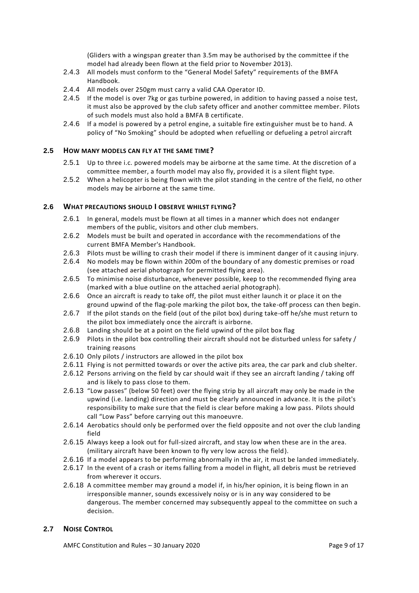(Gliders with a wingspan greater than 3.5m may be authorised by the committee if the model had already been flown at the field prior to November 2013).

- 2.4.3 All models must conform to the "General Model Safety" requirements of the BMFA Handbook.
- 2.4.4 All models over 250gm must carry a valid CAA Operator ID.
- 2.4.5 If the model is over 7kg or gas turbine powered, in addition to having passed a noise test, it must also be approved by the club safety officer and another committee member. Pilots of such models must also hold a BMFA B certificate.
- 2.4.6 If a model is powered by a petrol engine, a suitable fire extinguisher must be to hand. A policy of "No Smoking" should be adopted when refuelling or defueling a petrol aircraft

## **2.5 HOW MANY MODELS CAN FLY AT THE SAME TIME?**

- 2.5.1 Up to three i.c. powered models may be airborne at the same time. At the discretion of a committee member, a fourth model may also fly, provided it is a silent flight type.
- 2.5.2 When a helicopter is being flown with the pilot standing in the centre of the field, no other models may be airborne at the same time.

## **2.6 WHAT PRECAUTIONS SHOULD I OBSERVE WHILST FLYING?**

- 2.6.1 In general, models must be flown at all times in a manner which does not endanger members of the public, visitors and other club members.
- 2.6.2 Models must be built and operated in accordance with the recommendations of the current BMFA Member's Handbook.
- 2.6.3 Pilots must be willing to crash their model if there is imminent danger of it causing injury.
- 2.6.4 No models may be flown within 200m of the boundary of any domestic premises or road (see attached aerial photograph for permitted flying area).
- 2.6.5 To minimise noise disturbance, whenever possible, keep to the recommended flying area (marked with a blue outline on the attached aerial photograph).
- 2.6.6 Once an aircraft is ready to take off, the pilot must either launch it or place it on the ground upwind of the flag-pole marking the pilot box, the take-off process can then begin.
- 2.6.7 If the pilot stands on the field (out of the pilot box) during take-off he/she must return to the pilot box immediately once the aircraft is airborne.
- 2.6.8 Landing should be at a point on the field upwind of the pilot box flag
- 2.6.9 Pilots in the pilot box controlling their aircraft should not be disturbed unless for safety / training reasons
- 2.6.10 Only pilots / instructors are allowed in the pilot box
- 2.6.11 Flying is not permitted towards or over the active pits area, the car park and club shelter.
- 2.6.12 Persons arriving on the field by car should wait if they see an aircraft landing / taking off and is likely to pass close to them.
- 2.6.13 "Low passes" (below 50 feet) over the flying strip by all aircraft may only be made in the upwind (i.e. landing) direction and must be clearly announced in advance. It is the pilot's responsibility to make sure that the field is clear before making a low pass. Pilots should call "Low Pass" before carrying out this manoeuvre.
- 2.6.14 Aerobatics should only be performed over the field opposite and not over the club landing field
- 2.6.15 Always keep a look out for full-sized aircraft, and stay low when these are in the area. (military aircraft have been known to fly very low across the field).
- 2.6.16 If a model appears to be performing abnormally in the air, it must be landed immediately.
- 2.6.17 In the event of a crash or items falling from a model in flight, all debris must be retrieved from wherever it occurs.
- 2.6.18 A committee member may ground a model if, in his/her opinion, it is being flown in an irresponsible manner, sounds excessively noisy or is in any way considered to be dangerous. The member concerned may subsequently appeal to the committee on such a decision.

#### **2.7 NOISE CONTROL**

AMFC Constitution and Rules – 30 January 2020 Page 9 of 17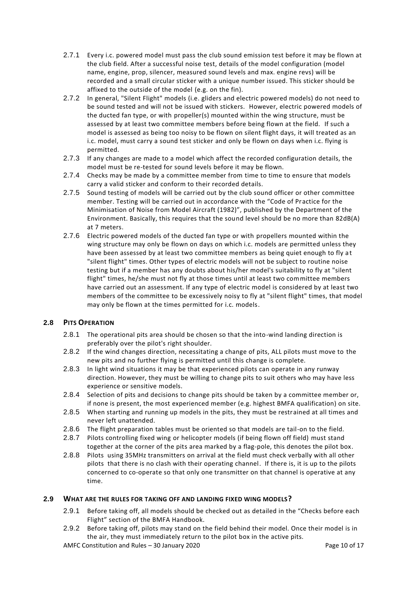- 2.7.1 Every i.c. powered model must pass the club sound emission test before it may be flown at the club field. After a successful noise test, details of the model configuration (model name, engine, prop, silencer, measured sound levels and max. engine revs) will be recorded and a small circular sticker with a unique number issued. This sticker should be affixed to the outside of the model (e.g. on the fin).
- 2.7.2 In general, "Silent Flight" models (i.e. gliders and electric powered models) do not need to be sound tested and will not be issued with stickers. However, electric powered models of the ducted fan type, or with propeller(s) mounted within the wing structure, must be assessed by at least two committee members before being flown at the field. If such a model is assessed as being too noisy to be flown on silent flight days, it will treated as an i.c. model, must carry a sound test sticker and only be flown on days when i.c. flying is permitted.
- 2.7.3 If any changes are made to a model which affect the recorded configuration details, the model must be re-tested for sound levels before it may be flown.
- 2.7.4 Checks may be made by a committee member from time to time to ensure that models carry a valid sticker and conform to their recorded details.
- 2.7.5 Sound testing of models will be carried out by the club sound officer or other committee member. Testing will be carried out in accordance with the "Code of Practice for the Minimisation of Noise from Model Aircraft (1982)", published by the Department of the Environment. Basically, this requires that the sound level should be no more than 82dB(A) at 7 meters.
- 2.7.6 Electric powered models of the ducted fan type or with propellers mounted within the wing structure may only be flown on days on which i.c. models are permitted unless they have been assessed by at least two committee members as being quiet enough to fly at "silent flight" times. Other types of electric models will not be subject to routine noise testing but if a member has any doubts about his/her model's suitability to fly at "silent flight" times, he/she must not fly at those times until at least two committee members have carried out an assessment. If any type of electric model is considered by at least two members of the committee to be excessively noisy to fly at "silent flight" times, that model may only be flown at the times permitted for i.c. models.

# **2.8 PITS OPERATION**

- 2.8.1 The operational pits area should be chosen so that the into-wind landing direction is preferably over the pilot's right shoulder.
- 2.8.2 If the wind changes direction, necessitating a change of pits, ALL pilots must move to the new pits and no further flying is permitted until this change is complete.
- 2.8.3 In light wind situations it may be that experienced pilots can operate in any runway direction. However, they must be willing to change pits to suit others who may have less experience or sensitive models.
- 2.8.4 Selection of pits and decisions to change pits should be taken by a committee member or, if none is present, the most experienced member (e.g. highest BMFA qualification) on site.
- 2.8.5 When starting and running up models in the pits, they must be restrained at all times and never left unattended.
- 2.8.6 The flight preparation tables must be oriented so that models are tail-on to the field.
- 2.8.7 Pilots controlling fixed wing or helicopter models (if being flown off field) must stand together at the corner of the pits area marked by a flag-pole, this denotes the pilot box.
- 2.8.8 Pilots using 35MHz transmitters on arrival at the field must check verbally with all other pilots that there is no clash with their operating channel. If there is, it is up to the pilots concerned to co-operate so that only one transmitter on that channel is operative at any time.

# **2.9 WHAT ARE THE RULES FOR TAKING OFF AND LANDING FIXED WING MODELS?**

- 2.9.1 Before taking off, all models should be checked out as detailed in the "Checks before each Flight" section of the BMFA Handbook.
- 2.9.2 Before taking off, pilots may stand on the field behind their model. Once their model is in the air, they must immediately return to the pilot box in the active pits.
- AMFC Constitution and Rules 30 January 2020 Page 10 of 17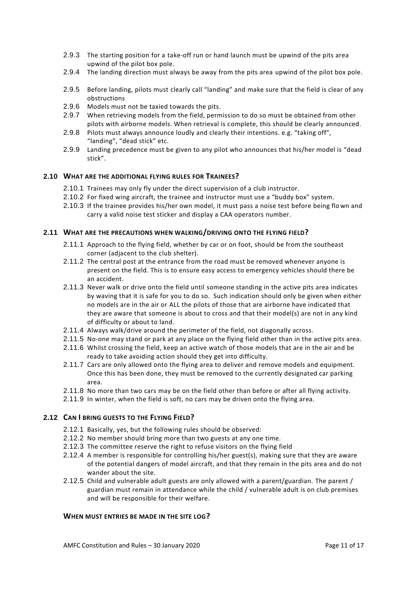- 2.9.3 The starting position for a take-off run or hand launch must be upwind of the pits area upwind of the pilot box pole.
- 2.9.4 The landing direction must always be away from the pits area upwind of the pilot box pole.
- 2.9.5 Before landing, pilots must clearly call "landing" and make sure that the field is clear of any obstructions
- 2.9.6 Models must not be taxied towards the pits.
- 2.9.7 When retrieving models from the field, permission to do so must be obtained from other pilots with airborne models. When retrieval is complete, this should be clearly announced.
- 2.9.8 Pilots must always announce loudly and clearly their intentions. e.g. "taking off", "landing", "dead stick" etc.
- 2.9.9 Landing precedence must be given to any pilot who announces that his/her model is "dead stick".

## **2.10 WHAT ARE THE ADDITIONAL FLYING RULES FOR TRAINEES?**

- 2.10.1 Trainees may only fly under the direct supervision of a club instructor.
- 2.10.2 For fixed wing aircraft, the trainee and instructor must use a "buddy box" system.
- 2.10.3 If the trainee provides his/her own model, it must pass a noise test before being flown and carry a valid noise test sticker and display a CAA operators number.

#### **2.11 WHAT ARE THE PRECAUTIONS WHEN WALKING/DRIVING ONTO THE FLYING FIELD?**

- 2.11.1 Approach to the flying field, whether by car or on foot, should be from the southeast corner (adjacent to the club shelter).
- 2.11.2 The central post at the entrance from the road must be removed whenever anyone is present on the field. This is to ensure easy access to emergency vehicles should there be an accident.
- 2.11.3 Never walk or drive onto the field until someone standing in the active pits area indicates by waving that it is safe for you to do so. Such indication should only be given when either no models are in the air or ALL the pilots of those that are airborne have indicated that they are aware that someone is about to cross and that their model(s) are not in any kind of difficulty or about to land.
- 2.11.4 Always walk/drive around the perimeter of the field, not diagonally across.
- 2.11.5 No-one may stand or park at any place on the flying field other than in the active pits area.
- 2.11.6 Whilst crossing the field, keep an active watch of those models that are in the air and be ready to take avoiding action should they get into difficulty.
- 2.11.7 Cars are only allowed onto the flying area to deliver and remove models and equipment. Once this has been done, they must be removed to the currently designated car parking area.
- 2.11.8 No more than two cars may be on the field other than before or after all flying activity.
- 2.11.9 In winter, when the field is soft, no cars may be driven onto the flying area.

# **2.12 CAN I BRING GUESTS TO THE FLYING FIELD?**

- 2.12.1 Basically, yes, but the following rules should be observed:
- 2.12.2 No member should bring more than two guests at any one time.
- 2.12.3 The committee reserve the right to refuse visitors on the flying field
- 2.12.4 A member is responsible for controlling his/her guest(s), making sure that they are aware of the potential dangers of model aircraft, and that they remain in the pits area and do not wander about the site.
- 2.12.5 Child and vulnerable adult guests are only allowed with a parent/guardian. The parent / guardian must remain in attendance while the child / vulnerable adult is on club premises and will be responsible for their welfare.

#### **WHEN MUST ENTRIES BE MADE IN THE SITE LOG?**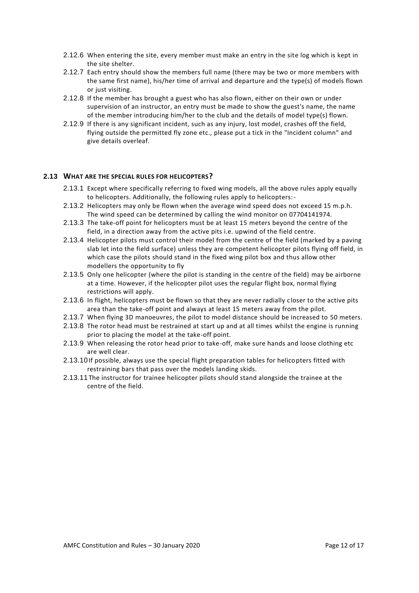- 2.12.6 When entering the site, every member must make an entry in the site log which is kept in the site shelter.
- 2.12.7 Each entry should show the members full name (there may be two or more members with the same first name), his/her time of arrival and departure and the type(s) of models flown or just visiting.
- 2.12.8 If the member has brought a guest who has also flown, either on their own or under supervision of an instructor, an entry must be made to show the guest's name, the name of the member introducing him/her to the club and the details of model type(s) flown.
- 2.12.9 If there is any significant incident, such as any injury, lost model, crashes off the field, flying outside the permitted fly zone etc., please put a tick in the "Incident column" and give details overleaf.

## **2.13 WHAT ARE THE SPECIAL RULES FOR HELICOPTERS?**

- 2.13.1 Except where specifically referring to fixed wing models, all the above rules apply equally to helicopters. Additionally, the following rules apply to helicopters:-
- 2.13.2 Helicopters may only be flown when the average wind speed does not exceed 15 m.p.h. The wind speed can be determined by calling the wind monitor on 07704141974.
- 2.13.3 The take-off point for helicopters must be at least 15 meters beyond the centre of the field, in a direction away from the active pits i.e. upwind of the field centre.
- 2.13.4 Helicopter pilots must control their model from the centre of the field (marked by a paving slab let into the field surface) unless they are competent helicopter pilots flying off field, in which case the pilots should stand in the fixed wing pilot box and thus allow other modellers the opportunity to fly
- 2.13.5 Only one helicopter (where the pilot is standing in the centre of the field) may be airborne at a time. However, if the helicopter pilot uses the regular flight box, normal flying restrictions will apply.
- 2.13.6 In flight, helicopters must be flown so that they are never radially closer to the active pits area than the take-off point and always at least 15 meters away from the pilot.
- 2.13.7 When flying 3D manoeuvres, the pilot to model distance should be increased to 50 meters.
- 2.13.8 The rotor head must be restrained at start up and at all times whilst the engine is running prior to placing the model at the take-off point.
- 2.13.9 When releasing the rotor head prior to take-off, make sure hands and loose clothing etc are well clear.
- 2.13.10If possible, always use the special flight preparation tables for helicopters fitted with restraining bars that pass over the models landing skids.
- 2.13.11The instructor for trainee helicopter pilots should stand alongside the trainee at the centre of the field.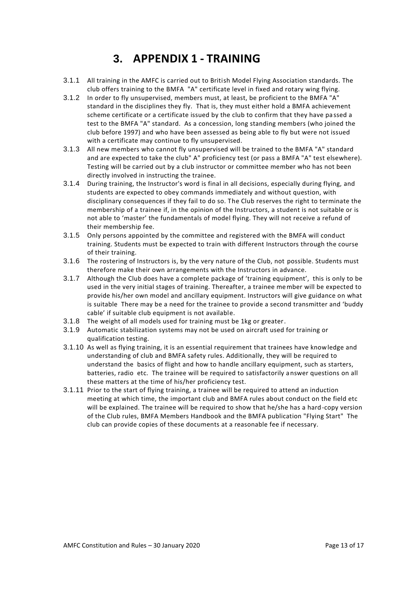# **3. APPENDIX 1 - TRAINING**

- 3.1.1 All training in the AMFC is carried out to British Model Flying Association standards. The club offers training to the BMFA "A" certificate level in fixed and rotary wing flying.
- 3.1.2 In order to fly unsupervised, members must, at least, be proficient to the BMFA "A" standard in the disciplines they fly. That is, they must either hold a BMFA achievement scheme certificate or a certificate issued by the club to confirm that they have pa ssed a test to the BMFA "A" standard. As a concession, long standing members (who joined the club before 1997) and who have been assessed as being able to fly but were not issued with a certificate may continue to fly unsupervised.
- 3.1.3 All new members who cannot fly unsupervised will be trained to the BMFA "A" standard and are expected to take the club" A" proficiency test (or pass a BMFA "A" test elsewhere). Testing will be carried out by a club instructor or committee member who has not been directly involved in instructing the trainee.
- 3.1.4 During training, the Instructor's word is final in all decisions, especially during flying, and students are expected to obey commands immediately and without question, with disciplinary consequences if they fail to do so. The Club reserves the right to terminate the membership of a trainee if, in the opinion of the Instructors, a student is not suitable or is not able to 'master' the fundamentals of model flying. They will not receive a refund of their membership fee.
- 3.1.5 Only persons appointed by the committee and registered with the BMFA will conduct training. Students must be expected to train with different Instructors through the course of their training.
- 3.1.6 The rostering of Instructors is, by the very nature of the Club, not possible. Students must therefore make their own arrangements with the Instructors in advance.
- 3.1.7 Although the Club does have a complete package of 'training equipment', this is only to be used in the very initial stages of training. Thereafter, a trainee member will be expected to provide his/her own model and ancillary equipment. Instructors will give guidance on what is suitable There may be a need for the trainee to provide a second transmitter and 'buddy cable' if suitable club equipment is not available.
- 3.1.8 The weight of all models used for training must be 1kg or greater.
- 3.1.9 Automatic stabilization systems may not be used on aircraft used for training or qualification testing.
- 3.1.10 As well as flying training, it is an essential requirement that trainees have knowledge and understanding of club and BMFA safety rules. Additionally, they will be required to understand the basics of flight and how to handle ancillary equipment, such as starters, batteries, radio etc. The trainee will be required to satisfactorily answer questions on all these matters at the time of his/her proficiency test.
- 3.1.11 Prior to the start of flying training, a trainee will be required to attend an induction meeting at which time, the important club and BMFA rules about conduct on the field etc will be explained. The trainee will be required to show that he/she has a hard-copy version of the Club rules, BMFA Members Handbook and the BMFA publication "Flying Start" The club can provide copies of these documents at a reasonable fee if necessary.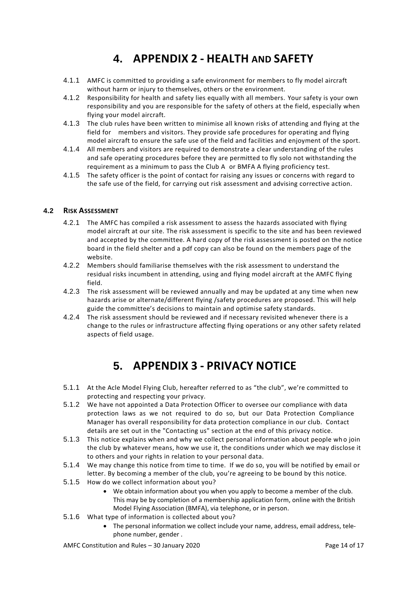# **4. APPENDIX 2 - HEALTH AND SAFETY**

- 4.1.1 AMFC is committed to providing a safe environment for members to fly model aircraft without harm or injury to themselves, others or the environment.
- 4.1.2 Responsibility for health and safety lies equally with all members. Your safety is your own responsibility and you are responsible for the safety of others at the field, especially when flying your model aircraft.
- 4.1.3 The club rules have been written to minimise all known risks of attending and flying at the field for members and visitors. They provide safe procedures for operating and flying model aircraft to ensure the safe use of the field and facilities and enjoyment of the sport.
- 4.1.4 All members and visitors are required to demonstrate a clear understanding of the rules and safe operating procedures before they are permitted to fly solo not withstanding the requirement as a minimum to pass the Club A or BMFA A flying proficiency test.
- 4.1.5 The safety officer is the point of contact for raising any issues or concerns with regard to the safe use of the field, for carrying out risk assessment and advising corrective action.

# **4.2 RISK ASSESSMENT**

- 4.2.1 The AMFC has compiled a risk assessment to assess the hazards associated with flying model aircraft at our site. The risk assessment is specific to the site and has been reviewed and accepted by the committee. A hard copy of the risk assessment is posted on the notice board in the field shelter and a pdf copy can also be found on the members page of the website.
- 4.2.2 Members should familiarise themselves with the risk assessment to understand the residual risks incumbent in attending, using and flying model aircraft at the AMFC flying field.
- 4.2.3 The risk assessment will be reviewed annually and may be updated at any time when new hazards arise or alternate/different flying /safety procedures are proposed. This will help guide the committee's decisions to maintain and optimise safety standards.
- 4.2.4 The risk assessment should be reviewed and if necessary revisited whenever there is a change to the rules or infrastructure affecting flying operations or any other safety related aspects of field usage.

# **5. APPENDIX 3 - PRIVACY NOTICE**

- 5.1.1 At the Acle Model Flying Club, hereafter referred to as "the club", we're committed to protecting and respecting your privacy.
- 5.1.2 We have not appointed a Data Protection Officer to oversee our compliance with data protection laws as we not required to do so, but our Data Protection Compliance Manager has overall responsibility for data protection compliance in our club. Contact details are set out in the "Contacting us" section at the end of this privacy notice.
- 5.1.3 This notice explains when and why we collect personal information about people who join the club by whatever means, how we use it, the conditions under which we may disclose it to others and your rights in relation to your personal data.
- 5.1.4 We may change this notice from time to time. If we do so, you will be notified by email or letter. By becoming a member of the club, you're agreeing to be bound by this notice.
- 5.1.5 How do we collect information about you?
	- We obtain information about you when you apply to become a member of the club. This may be by completion of a membership application form, online with the British Model Flying Association (BMFA), via telephone, or in person.
- 5.1.6 What type of information is collected about you?
	- The personal information we collect include your name, address, email address, telephone number, gender .

AMFC Constitution and Rules – 30 January 2020 Page 14 of 17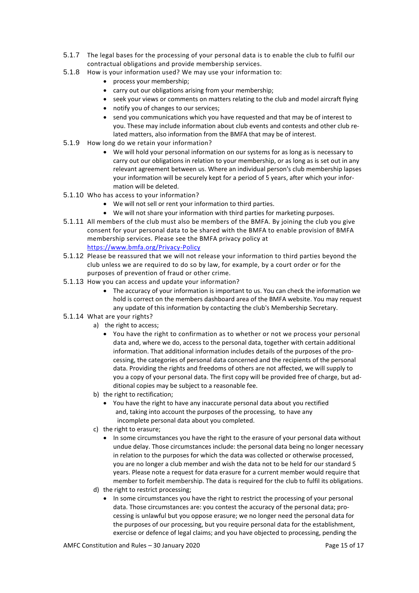- 5.1.7 The legal bases for the processing of your personal data is to enable the club to fulfil our contractual obligations and provide membership services.
- 5.1.8 How is your information used? We may use your information to:
	- process your membership;
	- carry out our obligations arising from your membership;
	- seek your views or comments on matters relating to the club and model aircraft flying
	- notify you of changes to our services;
	- send you communications which you have requested and that may be of interest to you. These may include information about club events and contests and other club related matters, also information from the BMFA that may be of interest.
- 5.1.9 How long do we retain your information?
	- We will hold your personal information on our systems for as long as is necessary to carry out our obligations in relation to your membership, or as long as is set out in any relevant agreement between us. Where an individual person's club membership lapses your information will be securely kept for a period of 5 years, after which your information will be deleted.
- 5.1.10 Who has access to your information?
	- We will not sell or rent your information to third parties.
	- We will not share your information with third parties for marketing purposes.
- 5.1.11 All members of the club must also be members of the BMFA. By joining the club you give consent for your personal data to be shared with the BMFA to enable provision of BMFA membership services. Please see the BMFA privacy policy at <https://www.bmfa.org/Privacy-Policy>
- 5.1.12 Please be reassured that we will not release your information to third parties beyond the club unless we are required to do so by law, for example, by a court order or for the purposes of prevention of fraud or other crime.
- 5.1.13 How you can access and update your information?
	- The accuracy of your information is important to us. You can check the information we hold is correct on the members dashboard area of the BMFA website. You may request any update of this information by contacting the club's Membership Secretary.
- 5.1.14 What are your rights?
	- a) the right to access;
		- You have the right to confirmation as to whether or not we process your personal data and, where we do, access to the personal data, together with certain additional information. That additional information includes details of the purposes of the processing, the categories of personal data concerned and the recipients of the personal data. Providing the rights and freedoms of others are not affected, we will supply to you a copy of your personal data. The first copy will be provided free of charge, but additional copies may be subject to a reasonable fee.
	- b) the right to rectification;
		- You have the right to have any inaccurate personal data about you rectified and, taking into account the purposes of the processing, to have any incomplete personal data about you completed.
	- c) the right to erasure;
		- In some circumstances you have the right to the erasure of your personal data without undue delay. Those circumstances include: the personal data being no longer necessary in relation to the purposes for which the data was collected or otherwise processed, you are no longer a club member and wish the data not to be held for our standard 5 years. Please note a request for data erasure for a current member would require that member to forfeit membership. The data is required for the club to fulfil its obligations.
	- d) the right to restrict processing;
		- In some circumstances you have the right to restrict the processing of your personal data. Those circumstances are: you contest the accuracy of the personal data; processing is unlawful but you oppose erasure; we no longer need the personal data for the purposes of our processing, but you require personal data for the establishment, exercise or defence of legal claims; and you have objected to processing, pending the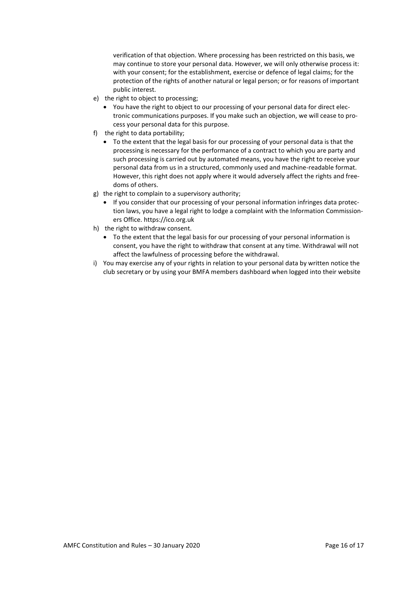verification of that objection. Where processing has been restricted on this basis, we may continue to store your personal data. However, we will only otherwise process it: with your consent; for the establishment, exercise or defence of legal claims; for the protection of the rights of another natural or legal person; or for reasons of important public interest.

- e) the right to object to processing;
	- You have the right to object to our processing of your personal data for direct electronic communications purposes. If you make such an objection, we will cease to process your personal data for this purpose.
- f) the right to data portability;
	- To the extent that the legal basis for our processing of your personal data is that the processing is necessary for the performance of a contract to which you are party and such processing is carried out by automated means, you have the right to receive your personal data from us in a structured, commonly used and machine-readable format. However, this right does not apply where it would adversely affect the rights and freedoms of others.
- g) the right to complain to a supervisory authority;
	- If you consider that our processing of your personal information infringes data protection laws, you have a legal right to lodge a complaint with the Information Commissioners Office. https://ico.org.uk
- h) the right to withdraw consent.
	- To the extent that the legal basis for our processing of your personal information is consent, you have the right to withdraw that consent at any time. Withdrawal will not affect the lawfulness of processing before the withdrawal.
- i) You may exercise any of your rights in relation to your personal data by written notice the club secretary or by using your BMFA members dashboard when logged into their website